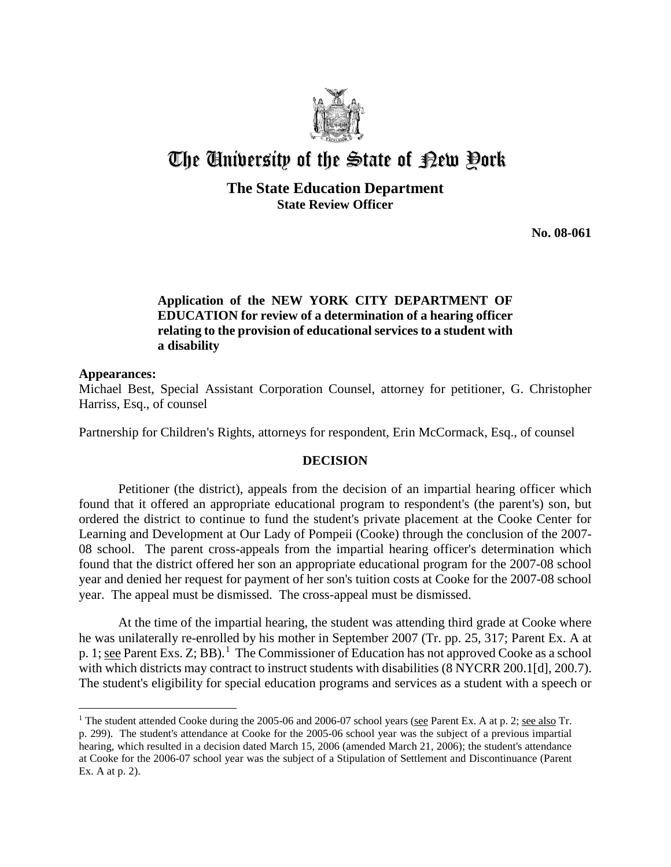

# The University of the State of Pew Pork

## **The State Education Department State Review Officer**

**No. 08-061** 

## **Application of the NEW YORK CITY DEPARTMENT OF EDUCATION for review of a determination of a hearing officer relating to the provision of educational services to a student with a disability**

#### **Appearances:**

 $\overline{a}$ 

Michael Best, Special Assistant Corporation Counsel, attorney for petitioner, G. Christopher Harriss, Esq., of counsel

Partnership for Children's Rights, attorneys for respondent, Erin McCormack, Esq., of counsel

### **DECISION**

Petitioner (the district), appeals from the decision of an impartial hearing officer which found that it offered an appropriate educational program to respondent's (the parent's) son, but ordered the district to continue to fund the student's private placement at the Cooke Center for Learning and Development at Our Lady of Pompeii (Cooke) through the conclusion of the 2007- 08 school. The parent cross-appeals from the impartial hearing officer's determination which found that the district offered her son an appropriate educational program for the 2007-08 school year and denied her request for payment of her son's tuition costs at Cooke for the 2007-08 school year. The appeal must be dismissed. The cross-appeal must be dismissed.

At the time of the impartial hearing, the student was attending third grade at Cooke where he was unilaterally re-enrolled by his mother in September 2007 (Tr. pp. 25, 317; Parent Ex. A at p. 1; see Parent Exs. Z; BB).<sup>1</sup> The Commissioner of Education has not approved Cooke as a school with which districts may contract to instruct students with disabilities (8 NYCRR 200.1[d], 200.7). The student's eligibility for special education programs and services as a student with a speech or

<sup>&</sup>lt;sup>1</sup> The student attended Cooke during the 2005-06 and 2006-07 school years (see Parent Ex. A at p. 2; see also Tr. p. 299). The student's attendance at Cooke for the 2005-06 school year was the subject of a previous impartial hearing, which resulted in a decision dated March 15, 2006 (amended March 21, 2006); the student's attendance at Cooke for the 2006-07 school year was the subject of a Stipulation of Settlement and Discontinuance (Parent Ex. A at p. 2).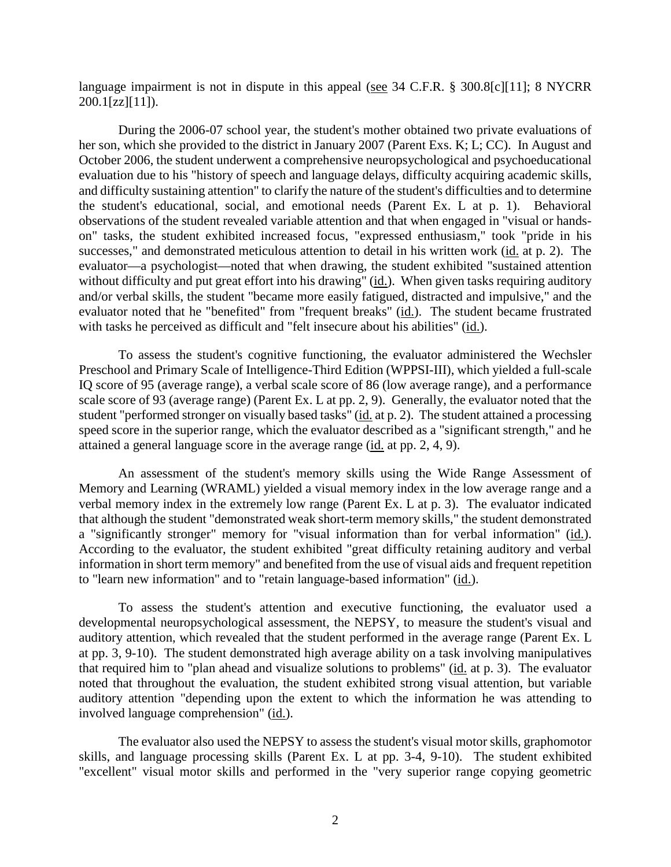language impairment is not in dispute in this appeal (see 34 C.F.R. § 300.8[c][11]; 8 NYCRR 200.1[zz][11]).

During the 2006-07 school year, the student's mother obtained two private evaluations of her son, which she provided to the district in January 2007 (Parent Exs. K; L; CC). In August and October 2006, the student underwent a comprehensive neuropsychological and psychoeducational evaluation due to his "history of speech and language delays, difficulty acquiring academic skills, and difficulty sustaining attention" to clarify the nature of the student's difficulties and to determine the student's educational, social, and emotional needs (Parent Ex. L at p. 1). Behavioral observations of the student revealed variable attention and that when engaged in "visual or handson" tasks, the student exhibited increased focus, "expressed enthusiasm," took "pride in his successes," and demonstrated meticulous attention to detail in his written work (id. at p. 2). The evaluator—a psychologist—noted that when drawing, the student exhibited "sustained attention without difficulty and put great effort into his drawing" (id.). When given tasks requiring auditory and/or verbal skills, the student "became more easily fatigued, distracted and impulsive," and the evaluator noted that he "benefited" from "frequent breaks" (id.). The student became frustrated with tasks he perceived as difficult and "felt insecure about his abilities" (id.).

To assess the student's cognitive functioning, the evaluator administered the Wechsler Preschool and Primary Scale of Intelligence-Third Edition (WPPSI-III), which yielded a full-scale IQ score of 95 (average range), a verbal scale score of 86 (low average range), and a performance scale score of 93 (average range) (Parent Ex. L at pp. 2, 9). Generally, the evaluator noted that the student "performed stronger on visually based tasks" (id. at p. 2). The student attained a processing speed score in the superior range, which the evaluator described as a "significant strength," and he attained a general language score in the average range (id. at pp. 2, 4, 9).

An assessment of the student's memory skills using the Wide Range Assessment of Memory and Learning (WRAML) yielded a visual memory index in the low average range and a verbal memory index in the extremely low range (Parent Ex. L at p. 3). The evaluator indicated that although the student "demonstrated weak short-term memory skills," the student demonstrated a "significantly stronger" memory for "visual information than for verbal information" (id.). According to the evaluator, the student exhibited "great difficulty retaining auditory and verbal information in short term memory" and benefited from the use of visual aids and frequent repetition to "learn new information" and to "retain language-based information" (id.).

To assess the student's attention and executive functioning, the evaluator used a developmental neuropsychological assessment, the NEPSY, to measure the student's visual and auditory attention, which revealed that the student performed in the average range (Parent Ex. L at pp. 3, 9-10). The student demonstrated high average ability on a task involving manipulatives that required him to "plan ahead and visualize solutions to problems" (id. at p. 3). The evaluator noted that throughout the evaluation, the student exhibited strong visual attention, but variable auditory attention "depending upon the extent to which the information he was attending to involved language comprehension" (id.).

The evaluator also used the NEPSY to assess the student's visual motor skills, graphomotor skills, and language processing skills (Parent Ex. L at pp. 3-4, 9-10). The student exhibited "excellent" visual motor skills and performed in the "very superior range copying geometric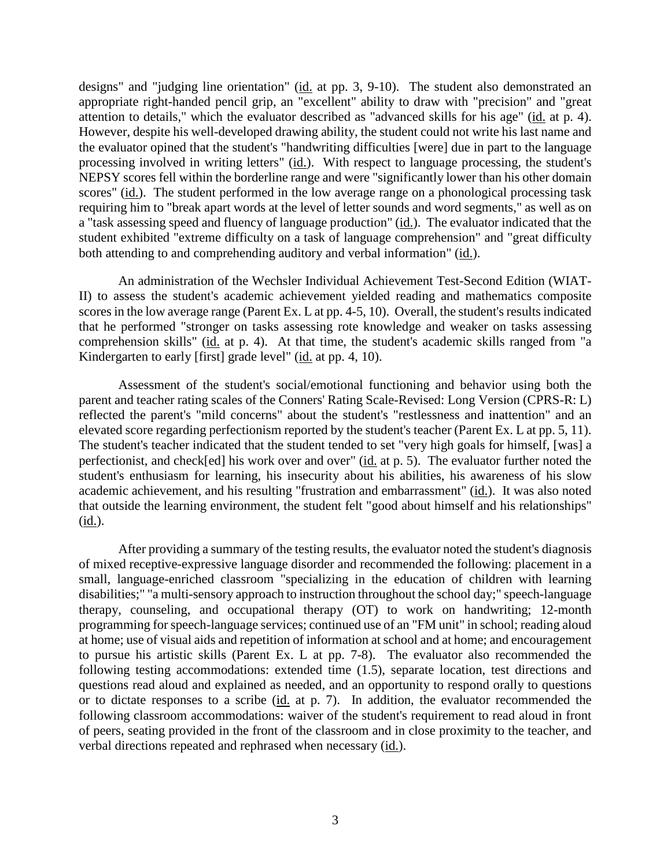designs" and "judging line orientation" (id. at pp. 3, 9-10). The student also demonstrated an appropriate right-handed pencil grip, an "excellent" ability to draw with "precision" and "great attention to details," which the evaluator described as "advanced skills for his age" (id. at p. 4). However, despite his well-developed drawing ability, the student could not write his last name and the evaluator opined that the student's "handwriting difficulties [were] due in part to the language processing involved in writing letters" (id.). With respect to language processing, the student's NEPSY scores fell within the borderline range and were "significantly lower than his other domain scores" (id.). The student performed in the low average range on a phonological processing task requiring him to "break apart words at the level of letter sounds and word segments," as well as on a "task assessing speed and fluency of language production" (id.). The evaluator indicated that the student exhibited "extreme difficulty on a task of language comprehension" and "great difficulty both attending to and comprehending auditory and verbal information" (id.).

An administration of the Wechsler Individual Achievement Test-Second Edition (WIAT-II) to assess the student's academic achievement yielded reading and mathematics composite scores in the low average range (Parent Ex. L at pp. 4-5, 10). Overall, the student's results indicated that he performed "stronger on tasks assessing rote knowledge and weaker on tasks assessing comprehension skills" (id. at p. 4). At that time, the student's academic skills ranged from "a Kindergarten to early [first] grade level" (id. at pp. 4, 10).

Assessment of the student's social/emotional functioning and behavior using both the parent and teacher rating scales of the Conners' Rating Scale-Revised: Long Version (CPRS-R: L) reflected the parent's "mild concerns" about the student's "restlessness and inattention" and an elevated score regarding perfectionism reported by the student's teacher (Parent Ex. L at pp. 5, 11). The student's teacher indicated that the student tended to set "very high goals for himself, [was] a perfectionist, and check[ed] his work over and over" (id. at p. 5). The evaluator further noted the student's enthusiasm for learning, his insecurity about his abilities, his awareness of his slow academic achievement, and his resulting "frustration and embarrassment" (id.). It was also noted that outside the learning environment, the student felt "good about himself and his relationships" (id.).

After providing a summary of the testing results, the evaluator noted the student's diagnosis of mixed receptive-expressive language disorder and recommended the following: placement in a small, language-enriched classroom "specializing in the education of children with learning disabilities;" "a multi-sensory approach to instruction throughout the school day;" speech-language therapy, counseling, and occupational therapy (OT) to work on handwriting; 12-month programming for speech-language services; continued use of an "FM unit" in school; reading aloud at home; use of visual aids and repetition of information at school and at home; and encouragement to pursue his artistic skills (Parent Ex. L at pp. 7-8). The evaluator also recommended the following testing accommodations: extended time (1.5), separate location, test directions and questions read aloud and explained as needed, and an opportunity to respond orally to questions or to dictate responses to a scribe (id. at p. 7). In addition, the evaluator recommended the following classroom accommodations: waiver of the student's requirement to read aloud in front of peers, seating provided in the front of the classroom and in close proximity to the teacher, and verbal directions repeated and rephrased when necessary (id.).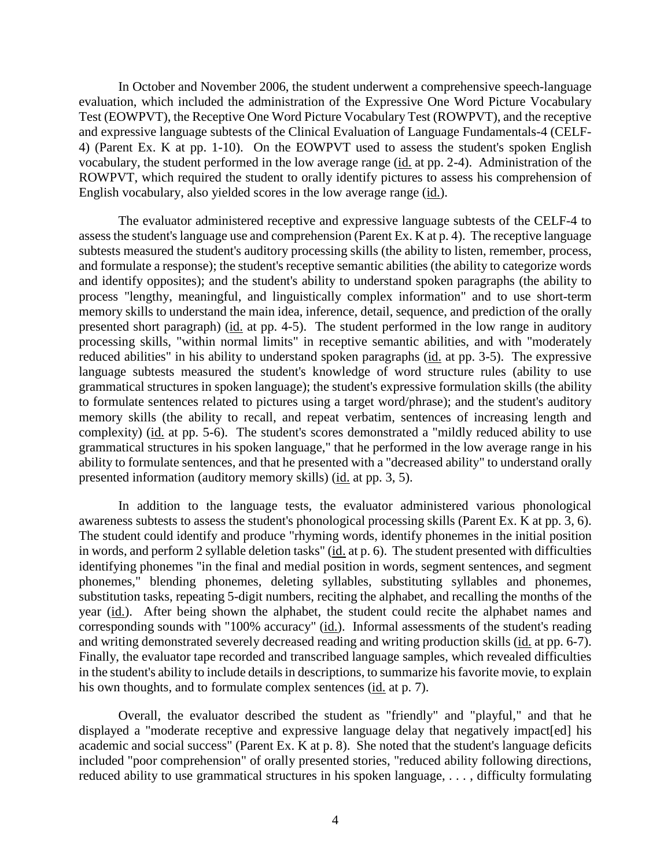In October and November 2006, the student underwent a comprehensive speech-language evaluation, which included the administration of the Expressive One Word Picture Vocabulary Test (EOWPVT), the Receptive One Word Picture Vocabulary Test (ROWPVT), and the receptive and expressive language subtests of the Clinical Evaluation of Language Fundamentals-4 (CELF-4) (Parent Ex. K at pp. 1-10). On the EOWPVT used to assess the student's spoken English vocabulary, the student performed in the low average range (id. at pp. 2-4). Administration of the ROWPVT, which required the student to orally identify pictures to assess his comprehension of English vocabulary, also yielded scores in the low average range (id.).

The evaluator administered receptive and expressive language subtests of the CELF-4 to assessthe student's language use and comprehension (Parent Ex. K at p. 4). The receptive language subtests measured the student's auditory processing skills (the ability to listen, remember, process, and formulate a response); the student's receptive semantic abilities (the ability to categorize words and identify opposites); and the student's ability to understand spoken paragraphs (the ability to process "lengthy, meaningful, and linguistically complex information" and to use short-term memory skills to understand the main idea, inference, detail, sequence, and prediction of the orally presented short paragraph) (id. at pp. 4-5). The student performed in the low range in auditory processing skills, "within normal limits" in receptive semantic abilities, and with "moderately reduced abilities" in his ability to understand spoken paragraphs (id. at pp. 3-5). The expressive language subtests measured the student's knowledge of word structure rules (ability to use grammatical structures in spoken language); the student's expressive formulation skills (the ability to formulate sentences related to pictures using a target word/phrase); and the student's auditory memory skills (the ability to recall, and repeat verbatim, sentences of increasing length and complexity) (id. at pp. 5-6). The student's scores demonstrated a "mildly reduced ability to use grammatical structures in his spoken language," that he performed in the low average range in his ability to formulate sentences, and that he presented with a "decreased ability" to understand orally presented information (auditory memory skills) (id. at pp. 3, 5).

In addition to the language tests, the evaluator administered various phonological awareness subtests to assess the student's phonological processing skills (Parent Ex. K at pp. 3, 6). The student could identify and produce "rhyming words, identify phonemes in the initial position in words, and perform 2 syllable deletion tasks" (id. at p. 6). The student presented with difficulties identifying phonemes "in the final and medial position in words, segment sentences, and segment phonemes," blending phonemes, deleting syllables, substituting syllables and phonemes, substitution tasks, repeating 5-digit numbers, reciting the alphabet, and recalling the months of the year (id.). After being shown the alphabet, the student could recite the alphabet names and corresponding sounds with "100% accuracy" (id.). Informal assessments of the student's reading and writing demonstrated severely decreased reading and writing production skills (id. at pp. 6-7). Finally, the evaluator tape recorded and transcribed language samples, which revealed difficulties in the student's ability to include details in descriptions, to summarize his favorite movie, to explain his own thoughts, and to formulate complex sentences (id. at p. 7).

Overall, the evaluator described the student as "friendly" and "playful," and that he displayed a "moderate receptive and expressive language delay that negatively impact [ed] his academic and social success" (Parent Ex. K at p. 8). She noted that the student's language deficits included "poor comprehension" of orally presented stories, "reduced ability following directions, reduced ability to use grammatical structures in his spoken language, . . . , difficulty formulating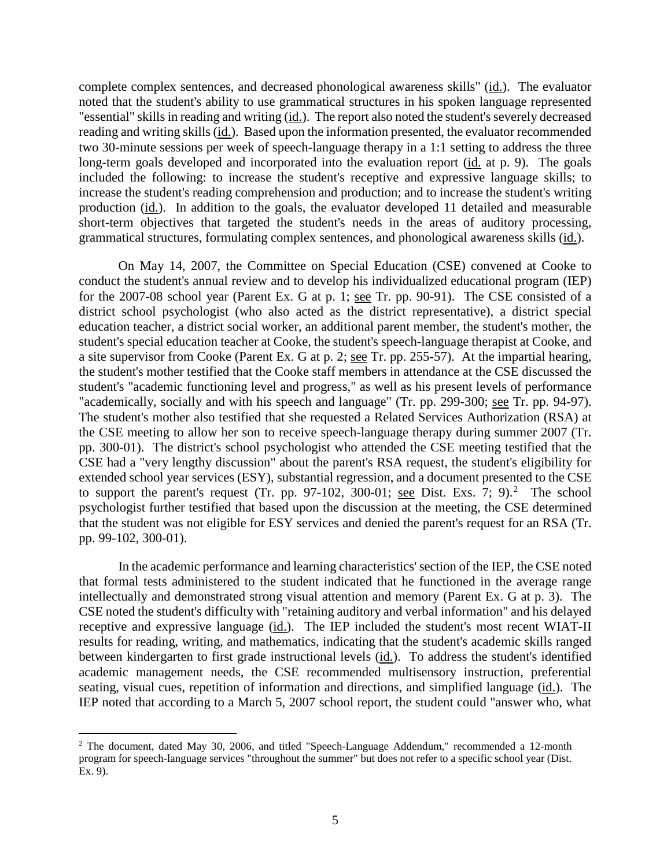complete complex sentences, and decreased phonological awareness skills" (id.). The evaluator noted that the student's ability to use grammatical structures in his spoken language represented "essential" skills in reading and writing (id.). The report also noted the student's severely decreased reading and writing skills (id.). Based upon the information presented, the evaluator recommended two 30-minute sessions per week of speech-language therapy in a 1:1 setting to address the three long-term goals developed and incorporated into the evaluation report (id. at p. 9). The goals included the following: to increase the student's receptive and expressive language skills; to increase the student's reading comprehension and production; and to increase the student's writing production (id.). In addition to the goals, the evaluator developed 11 detailed and measurable short-term objectives that targeted the student's needs in the areas of auditory processing, grammatical structures, formulating complex sentences, and phonological awareness skills (id.).

On May 14, 2007, the Committee on Special Education (CSE) convened at Cooke to conduct the student's annual review and to develop his individualized educational program (IEP) for the 2007-08 school year (Parent Ex. G at p. 1; see Tr. pp. 90-91). The CSE consisted of a district school psychologist (who also acted as the district representative), a district special education teacher, a district social worker, an additional parent member, the student's mother, the student's special education teacher at Cooke, the student's speech-language therapist at Cooke, and a site supervisor from Cooke (Parent Ex. G at p. 2; see Tr. pp. 255-57). At the impartial hearing, the student's mother testified that the Cooke staff members in attendance at the CSE discussed the student's "academic functioning level and progress," as well as his present levels of performance "academically, socially and with his speech and language" (Tr. pp. 299-300; <u>see</u> Tr. pp. 94-97). The student's mother also testified that she requested a Related Services Authorization (RSA) at the CSE meeting to allow her son to receive speech-language therapy during summer 2007 (Tr. pp. 300-01). The district's school psychologist who attended the CSE meeting testified that the CSE had a "very lengthy discussion" about the parent's RSA request, the student's eligibility for extended school year services (ESY), substantial regression, and a document presented to the CSE to support the parent's request (Tr. pp. 97-102, 300-01; see Dist. Exs. 7; 9).<sup>2</sup> The school psychologist further testified that based upon the discussion at the meeting, the CSE determined that the student was not eligible for ESY services and denied the parent's request for an RSA (Tr. pp. 99-102, 300-01).

In the academic performance and learning characteristics' section of the IEP, the CSE noted that formal tests administered to the student indicated that he functioned in the average range intellectually and demonstrated strong visual attention and memory (Parent Ex. G at p. 3). The CSE noted the student's difficulty with "retaining auditory and verbal information" and his delayed receptive and expressive language (id.). The IEP included the student's most recent WIAT-II results for reading, writing, and mathematics, indicating that the student's academic skills ranged between kindergarten to first grade instructional levels (id.). To address the student's identified academic management needs, the CSE recommended multisensory instruction, preferential seating, visual cues, repetition of information and directions, and simplified language (id.). The IEP noted that according to a March 5, 2007 school report, the student could "answer who, what

<sup>&</sup>lt;sup>2</sup> The document, dated May 30, 2006, and titled "Speech-Language Addendum," recommended a 12-month program for speech-language services "throughout the summer" but does not refer to a specific school year (Dist. Ex. 9).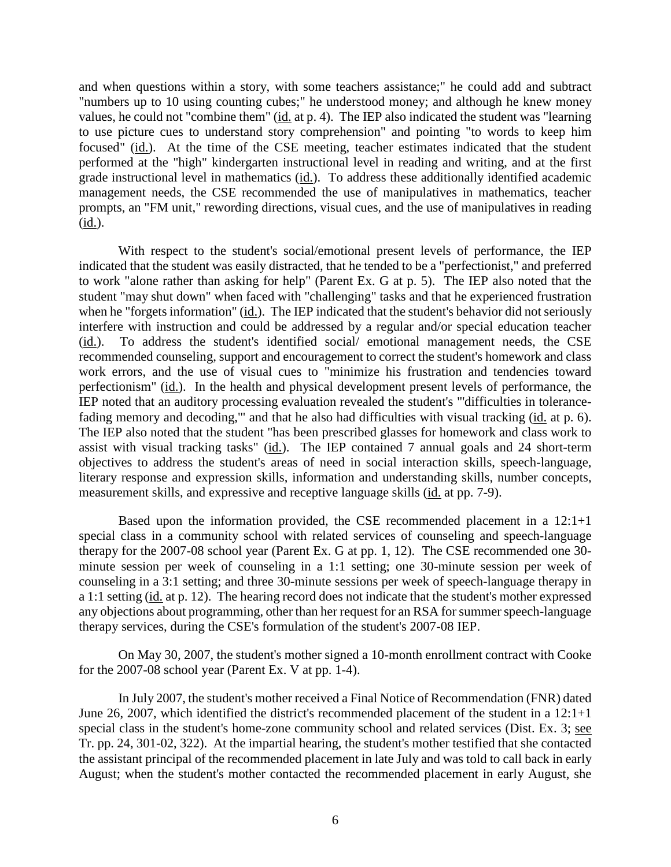and when questions within a story, with some teachers assistance;" he could add and subtract "numbers up to 10 using counting cubes;" he understood money; and although he knew money values, he could not "combine them" (id. at p. 4). The IEP also indicated the student was "learning to use picture cues to understand story comprehension" and pointing "to words to keep him focused" (id.). At the time of the CSE meeting, teacher estimates indicated that the student performed at the "high" kindergarten instructional level in reading and writing, and at the first grade instructional level in mathematics (id.). To address these additionally identified academic management needs, the CSE recommended the use of manipulatives in mathematics, teacher prompts, an "FM unit," rewording directions, visual cues, and the use of manipulatives in reading (id.).

With respect to the student's social/emotional present levels of performance, the IEP indicated that the student was easily distracted, that he tended to be a "perfectionist," and preferred to work "alone rather than asking for help" (Parent Ex. G at p. 5). The IEP also noted that the student "may shut down" when faced with "challenging" tasks and that he experienced frustration when he "forgets information" (id.). The IEP indicated that the student's behavior did not seriously interfere with instruction and could be addressed by a regular and/or special education teacher (id.). To address the student's identified social/ emotional management needs, the CSE recommended counseling, support and encouragement to correct the student's homework and class work errors, and the use of visual cues to "minimize his frustration and tendencies toward perfectionism" (id.). In the health and physical development present levels of performance, the IEP noted that an auditory processing evaluation revealed the student's "'difficulties in tolerancefading memory and decoding,'" and that he also had difficulties with visual tracking (id. at p. 6). The IEP also noted that the student "has been prescribed glasses for homework and class work to assist with visual tracking tasks" (id.). The IEP contained 7 annual goals and 24 short-term objectives to address the student's areas of need in social interaction skills, speech-language, literary response and expression skills, information and understanding skills, number concepts, measurement skills, and expressive and receptive language skills (id. at pp. 7-9).

Based upon the information provided, the CSE recommended placement in a 12:1+1 special class in a community school with related services of counseling and speech-language therapy for the 2007-08 school year (Parent Ex. G at pp. 1, 12). The CSE recommended one 30 minute session per week of counseling in a 1:1 setting; one 30-minute session per week of counseling in a 3:1 setting; and three 30-minute sessions per week of speech-language therapy in a 1:1 setting (id. at p. 12). The hearing record does not indicate that the student's mother expressed any objections about programming, other than her request for an RSA for summer speech-language therapy services, during the CSE's formulation of the student's 2007-08 IEP.

On May 30, 2007, the student's mother signed a 10-month enrollment contract with Cooke for the 2007-08 school year (Parent Ex. V at pp. 1-4).

In July 2007, the student's mother received a Final Notice of Recommendation (FNR) dated June 26, 2007, which identified the district's recommended placement of the student in a 12:1+1 special class in the student's home-zone community school and related services (Dist. Ex. 3; see Tr. pp. 24, 301-02, 322). At the impartial hearing, the student's mother testified that she contacted the assistant principal of the recommended placement in late July and was told to call back in early August; when the student's mother contacted the recommended placement in early August, she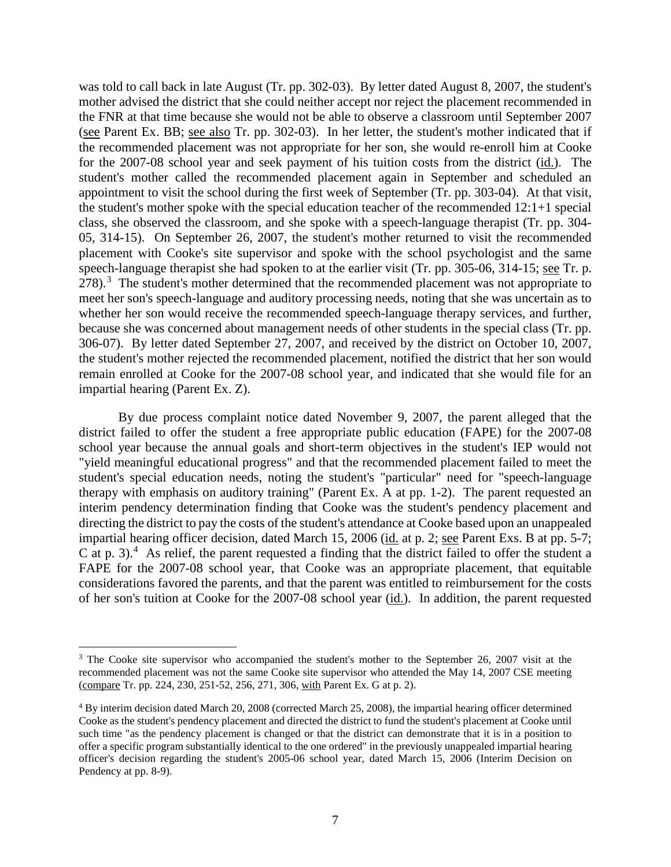was told to call back in late August (Tr. pp. 302-03). By letter dated August 8, 2007, the student's mother advised the district that she could neither accept nor reject the placement recommended in the FNR at that time because she would not be able to observe a classroom until September 2007 (see Parent Ex. BB; see also Tr. pp. 302-03). In her letter, the student's mother indicated that if the recommended placement was not appropriate for her son, she would re-enroll him at Cooke for the 2007-08 school year and seek payment of his tuition costs from the district (id.). The student's mother called the recommended placement again in September and scheduled an appointment to visit the school during the first week of September (Tr. pp. 303-04). At that visit, the student's mother spoke with the special education teacher of the recommended 12:1+1 special class, she observed the classroom, and she spoke with a speech-language therapist (Tr. pp. 304- 05, 314-15). On September 26, 2007, the student's mother returned to visit the recommended placement with Cooke's site supervisor and spoke with the school psychologist and the same speech-language therapist she had spoken to at the earlier visit (Tr. pp. 305-06, 314-15; see Tr. p.  $278$ ).<sup>3</sup> The student's mother determined that the recommended placement was not appropriate to meet her son's speech-language and auditory processing needs, noting that she was uncertain as to whether her son would receive the recommended speech-language therapy services, and further, because she was concerned about management needs of other students in the special class (Tr. pp. 306-07). By letter dated September 27, 2007, and received by the district on October 10, 2007, the student's mother rejected the recommended placement, notified the district that her son would remain enrolled at Cooke for the 2007-08 school year, and indicated that she would file for an impartial hearing (Parent Ex. Z).

By due process complaint notice dated November 9, 2007, the parent alleged that the district failed to offer the student a free appropriate public education (FAPE) for the 2007-08 school year because the annual goals and short-term objectives in the student's IEP would not "yield meaningful educational progress" and that the recommended placement failed to meet the student's special education needs, noting the student's "particular" need for "speech-language therapy with emphasis on auditory training" (Parent Ex. A at pp. 1-2). The parent requested an interim pendency determination finding that Cooke was the student's pendency placement and directing the district to pay the costs of the student's attendance at Cooke based upon an unappealed impartial hearing officer decision, dated March 15, 2006 (id. at p. 2; see Parent Exs. B at pp. 5-7; C at p. 3).<sup>4</sup> As relief, the parent requested a finding that the district failed to offer the student a FAPE for the 2007-08 school year, that Cooke was an appropriate placement, that equitable considerations favored the parents, and that the parent was entitled to reimbursement for the costs of her son's tuition at Cooke for the 2007-08 school year (id.). In addition, the parent requested

<sup>&</sup>lt;sup>3</sup> The Cooke site supervisor who accompanied the student's mother to the September 26, 2007 visit at the recommended placement was not the same Cooke site supervisor who attended the May 14, 2007 CSE meeting (compare Tr. pp. 224, 230, 251-52, 256, 271, 306, with Parent Ex. G at p. 2).

<sup>4</sup> By interim decision dated March 20, 2008 (corrected March 25, 2008), the impartial hearing officer determined Cooke as the student's pendency placement and directed the district to fund the student's placement at Cooke until such time "as the pendency placement is changed or that the district can demonstrate that it is in a position to offer a specific program substantially identical to the one ordered" in the previously unappealed impartial hearing officer's decision regarding the student's 2005-06 school year, dated March 15, 2006 (Interim Decision on Pendency at pp. 8-9).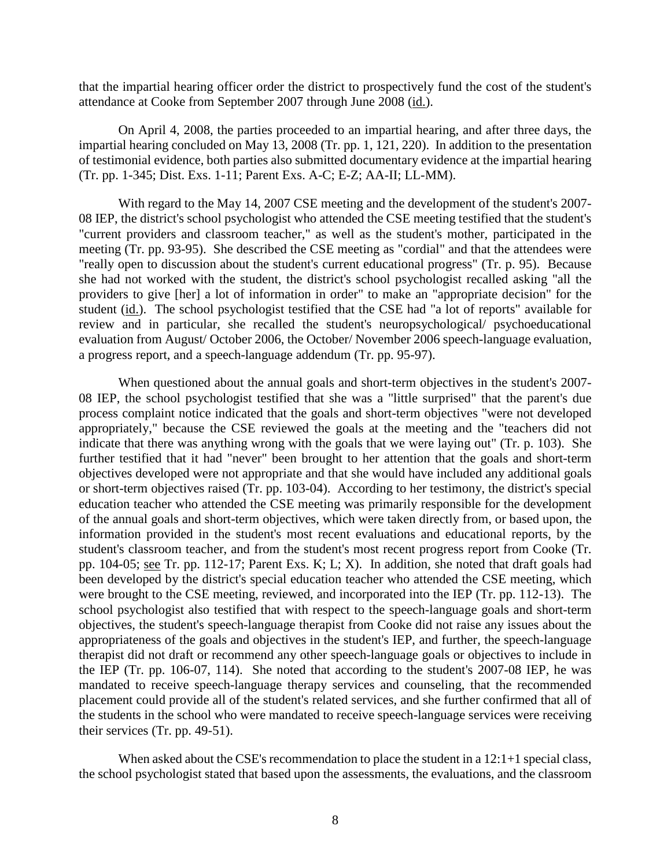that the impartial hearing officer order the district to prospectively fund the cost of the student's attendance at Cooke from September 2007 through June 2008 (id.).

On April 4, 2008, the parties proceeded to an impartial hearing, and after three days, the impartial hearing concluded on May 13, 2008 (Tr. pp. 1, 121, 220). In addition to the presentation of testimonial evidence, both parties also submitted documentary evidence at the impartial hearing (Tr. pp. 1-345; Dist. Exs. 1-11; Parent Exs. A-C; E-Z; AA-II; LL-MM).

With regard to the May 14, 2007 CSE meeting and the development of the student's 2007- 08 IEP, the district's school psychologist who attended the CSE meeting testified that the student's "current providers and classroom teacher," as well as the student's mother, participated in the meeting (Tr. pp. 93-95). She described the CSE meeting as "cordial" and that the attendees were "really open to discussion about the student's current educational progress" (Tr. p. 95). Because she had not worked with the student, the district's school psychologist recalled asking "all the providers to give [her] a lot of information in order" to make an "appropriate decision" for the student (id.). The school psychologist testified that the CSE had "a lot of reports" available for review and in particular, she recalled the student's neuropsychological/ psychoeducational evaluation from August/ October 2006, the October/ November 2006 speech-language evaluation, a progress report, and a speech-language addendum (Tr. pp. 95-97).

When questioned about the annual goals and short-term objectives in the student's 2007- 08 IEP, the school psychologist testified that she was a "little surprised" that the parent's due process complaint notice indicated that the goals and short-term objectives "were not developed appropriately," because the CSE reviewed the goals at the meeting and the "teachers did not indicate that there was anything wrong with the goals that we were laying out" (Tr. p. 103). She further testified that it had "never" been brought to her attention that the goals and short-term objectives developed were not appropriate and that she would have included any additional goals or short-term objectives raised (Tr. pp. 103-04). According to her testimony, the district's special education teacher who attended the CSE meeting was primarily responsible for the development of the annual goals and short-term objectives, which were taken directly from, or based upon, the information provided in the student's most recent evaluations and educational reports, by the student's classroom teacher, and from the student's most recent progress report from Cooke (Tr. pp. 104-05; see Tr. pp. 112-17; Parent Exs. K; L; X). In addition, she noted that draft goals had been developed by the district's special education teacher who attended the CSE meeting, which were brought to the CSE meeting, reviewed, and incorporated into the IEP (Tr. pp. 112-13). The school psychologist also testified that with respect to the speech-language goals and short-term objectives, the student's speech-language therapist from Cooke did not raise any issues about the appropriateness of the goals and objectives in the student's IEP, and further, the speech-language therapist did not draft or recommend any other speech-language goals or objectives to include in the IEP (Tr. pp. 106-07, 114). She noted that according to the student's 2007-08 IEP, he was mandated to receive speech-language therapy services and counseling, that the recommended placement could provide all of the student's related services, and she further confirmed that all of the students in the school who were mandated to receive speech-language services were receiving their services (Tr. pp. 49-51).

When asked about the CSE's recommendation to place the student in a 12:1+1 special class, the school psychologist stated that based upon the assessments, the evaluations, and the classroom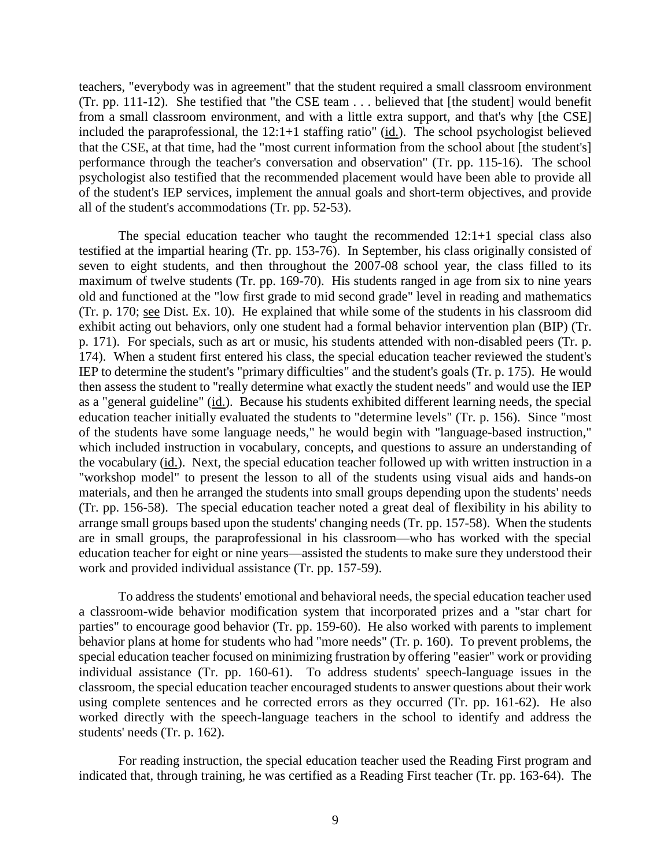teachers, "everybody was in agreement" that the student required a small classroom environment (Tr. pp. 111-12). She testified that "the CSE team . . . believed that [the student] would benefit from a small classroom environment, and with a little extra support, and that's why [the CSE] included the paraprofessional, the 12:1+1 staffing ratio" (id.). The school psychologist believed that the CSE, at that time, had the "most current information from the school about [the student's] performance through the teacher's conversation and observation" (Tr. pp. 115-16). The school psychologist also testified that the recommended placement would have been able to provide all of the student's IEP services, implement the annual goals and short-term objectives, and provide all of the student's accommodations (Tr. pp. 52-53).

The special education teacher who taught the recommended 12:1+1 special class also testified at the impartial hearing (Tr. pp. 153-76). In September, his class originally consisted of seven to eight students, and then throughout the 2007-08 school year, the class filled to its maximum of twelve students (Tr. pp. 169-70). His students ranged in age from six to nine years old and functioned at the "low first grade to mid second grade" level in reading and mathematics (Tr. p. 170; see Dist. Ex. 10). He explained that while some of the students in his classroom did exhibit acting out behaviors, only one student had a formal behavior intervention plan (BIP) (Tr. p. 171). For specials, such as art or music, his students attended with non-disabled peers (Tr. p. 174). When a student first entered his class, the special education teacher reviewed the student's IEP to determine the student's "primary difficulties" and the student's goals (Tr. p. 175). He would then assess the student to "really determine what exactly the student needs" and would use the IEP as a "general guideline" (id.). Because his students exhibited different learning needs, the special education teacher initially evaluated the students to "determine levels" (Tr. p. 156). Since "most of the students have some language needs," he would begin with "language-based instruction," which included instruction in vocabulary, concepts, and questions to assure an understanding of the vocabulary (id.). Next, the special education teacher followed up with written instruction in a "workshop model" to present the lesson to all of the students using visual aids and hands-on materials, and then he arranged the students into small groups depending upon the students' needs (Tr. pp. 156-58). The special education teacher noted a great deal of flexibility in his ability to arrange small groups based upon the students' changing needs (Tr. pp. 157-58). When the students are in small groups, the paraprofessional in his classroom—who has worked with the special education teacher for eight or nine years—assisted the students to make sure they understood their work and provided individual assistance (Tr. pp. 157-59).

To address the students' emotional and behavioral needs, the special education teacher used a classroom-wide behavior modification system that incorporated prizes and a "star chart for parties" to encourage good behavior (Tr. pp. 159-60). He also worked with parents to implement behavior plans at home for students who had "more needs" (Tr. p. 160). To prevent problems, the special education teacher focused on minimizing frustration by offering "easier" work or providing individual assistance (Tr. pp. 160-61). To address students' speech-language issues in the classroom, the special education teacher encouraged students to answer questions about their work using complete sentences and he corrected errors as they occurred (Tr. pp. 161-62). He also worked directly with the speech-language teachers in the school to identify and address the students' needs (Tr. p. 162).

For reading instruction, the special education teacher used the Reading First program and indicated that, through training, he was certified as a Reading First teacher (Tr. pp. 163-64). The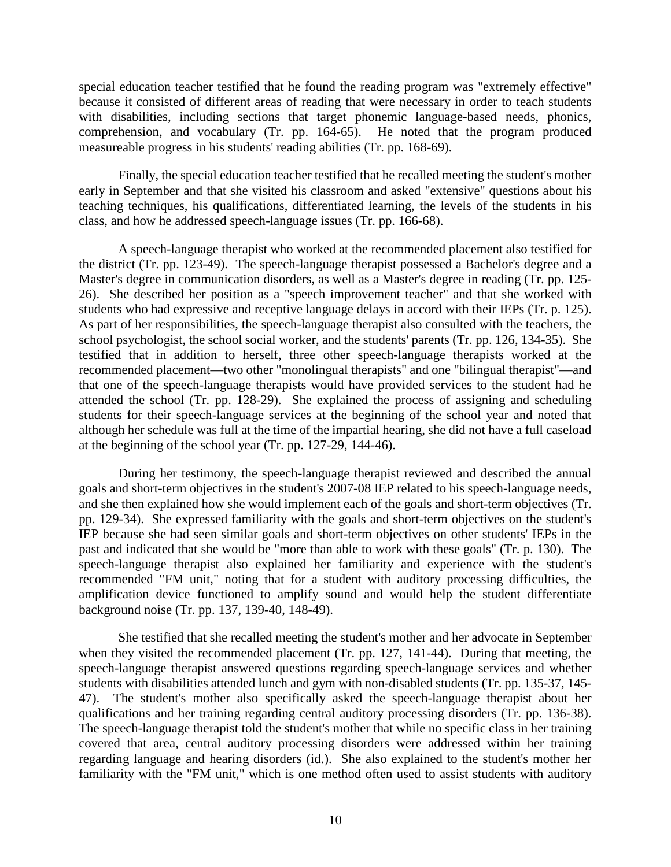special education teacher testified that he found the reading program was "extremely effective" because it consisted of different areas of reading that were necessary in order to teach students with disabilities, including sections that target phonemic language-based needs, phonics, comprehension, and vocabulary (Tr. pp. 164-65). He noted that the program produced measureable progress in his students' reading abilities (Tr. pp. 168-69).

Finally, the special education teacher testified that he recalled meeting the student's mother early in September and that she visited his classroom and asked "extensive" questions about his teaching techniques, his qualifications, differentiated learning, the levels of the students in his class, and how he addressed speech-language issues (Tr. pp. 166-68).

A speech-language therapist who worked at the recommended placement also testified for the district (Tr. pp. 123-49). The speech-language therapist possessed a Bachelor's degree and a Master's degree in communication disorders, as well as a Master's degree in reading (Tr. pp. 125- 26). She described her position as a "speech improvement teacher" and that she worked with students who had expressive and receptive language delays in accord with their IEPs (Tr. p. 125). As part of her responsibilities, the speech-language therapist also consulted with the teachers, the school psychologist, the school social worker, and the students' parents (Tr. pp. 126, 134-35). She testified that in addition to herself, three other speech-language therapists worked at the recommended placement—two other "monolingual therapists" and one "bilingual therapist"—and that one of the speech-language therapists would have provided services to the student had he attended the school (Tr. pp. 128-29). She explained the process of assigning and scheduling students for their speech-language services at the beginning of the school year and noted that although her schedule was full at the time of the impartial hearing, she did not have a full caseload at the beginning of the school year (Tr. pp. 127-29, 144-46).

During her testimony, the speech-language therapist reviewed and described the annual goals and short-term objectives in the student's 2007-08 IEP related to his speech-language needs, and she then explained how she would implement each of the goals and short-term objectives (Tr. pp. 129-34). She expressed familiarity with the goals and short-term objectives on the student's IEP because she had seen similar goals and short-term objectives on other students' IEPs in the past and indicated that she would be "more than able to work with these goals" (Tr. p. 130). The speech-language therapist also explained her familiarity and experience with the student's recommended "FM unit," noting that for a student with auditory processing difficulties, the amplification device functioned to amplify sound and would help the student differentiate background noise (Tr. pp. 137, 139-40, 148-49).

She testified that she recalled meeting the student's mother and her advocate in September when they visited the recommended placement (Tr. pp. 127, 141-44). During that meeting, the speech-language therapist answered questions regarding speech-language services and whether students with disabilities attended lunch and gym with non-disabled students (Tr. pp. 135-37, 145- 47). The student's mother also specifically asked the speech-language therapist about her qualifications and her training regarding central auditory processing disorders (Tr. pp. 136-38). The speech-language therapist told the student's mother that while no specific class in her training covered that area, central auditory processing disorders were addressed within her training regarding language and hearing disorders (id.). She also explained to the student's mother her familiarity with the "FM unit," which is one method often used to assist students with auditory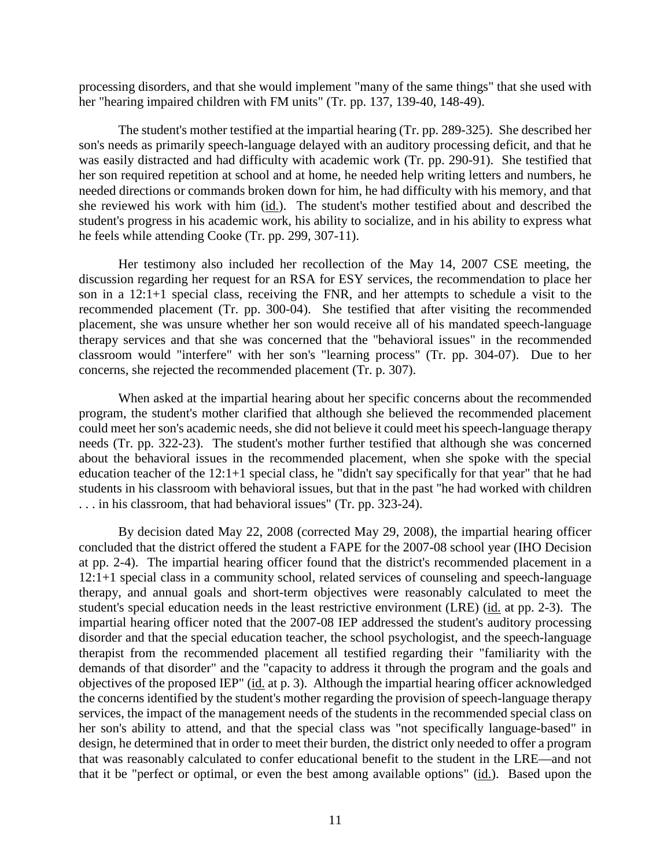processing disorders, and that she would implement "many of the same things" that she used with her "hearing impaired children with FM units" (Tr. pp. 137, 139-40, 148-49).

The student's mother testified at the impartial hearing (Tr. pp. 289-325). She described her son's needs as primarily speech-language delayed with an auditory processing deficit, and that he was easily distracted and had difficulty with academic work (Tr. pp. 290-91). She testified that her son required repetition at school and at home, he needed help writing letters and numbers, he needed directions or commands broken down for him, he had difficulty with his memory, and that she reviewed his work with him (id.). The student's mother testified about and described the student's progress in his academic work, his ability to socialize, and in his ability to express what he feels while attending Cooke (Tr. pp. 299, 307-11).

Her testimony also included her recollection of the May 14, 2007 CSE meeting, the discussion regarding her request for an RSA for ESY services, the recommendation to place her son in a 12:1+1 special class, receiving the FNR, and her attempts to schedule a visit to the recommended placement (Tr. pp. 300-04). She testified that after visiting the recommended placement, she was unsure whether her son would receive all of his mandated speech-language therapy services and that she was concerned that the "behavioral issues" in the recommended classroom would "interfere" with her son's "learning process" (Tr. pp. 304-07). Due to her concerns, she rejected the recommended placement (Tr. p. 307).

When asked at the impartial hearing about her specific concerns about the recommended program, the student's mother clarified that although she believed the recommended placement could meet her son's academic needs, she did not believe it could meet his speech-language therapy needs (Tr. pp. 322-23). The student's mother further testified that although she was concerned about the behavioral issues in the recommended placement, when she spoke with the special education teacher of the 12:1+1 special class, he "didn't say specifically for that year" that he had students in his classroom with behavioral issues, but that in the past "he had worked with children . . . in his classroom, that had behavioral issues" (Tr. pp. 323-24).

By decision dated May 22, 2008 (corrected May 29, 2008), the impartial hearing officer concluded that the district offered the student a FAPE for the 2007-08 school year (IHO Decision at pp. 2-4). The impartial hearing officer found that the district's recommended placement in a 12:1+1 special class in a community school, related services of counseling and speech-language therapy, and annual goals and short-term objectives were reasonably calculated to meet the student's special education needs in the least restrictive environment (LRE) (id. at pp. 2-3). The impartial hearing officer noted that the 2007-08 IEP addressed the student's auditory processing disorder and that the special education teacher, the school psychologist, and the speech-language therapist from the recommended placement all testified regarding their "familiarity with the demands of that disorder" and the "capacity to address it through the program and the goals and objectives of the proposed IEP" (id. at p. 3). Although the impartial hearing officer acknowledged the concerns identified by the student's mother regarding the provision of speech-language therapy services, the impact of the management needs of the students in the recommended special class on her son's ability to attend, and that the special class was "not specifically language-based" in design, he determined that in order to meet their burden, the district only needed to offer a program that was reasonably calculated to confer educational benefit to the student in the LRE—and not that it be "perfect or optimal, or even the best among available options" (id.). Based upon the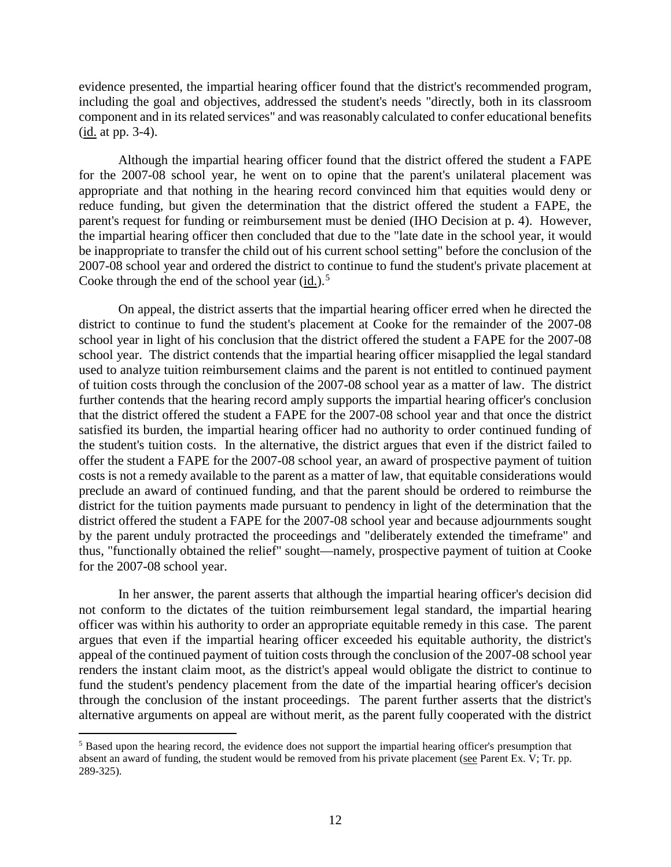evidence presented, the impartial hearing officer found that the district's recommended program, including the goal and objectives, addressed the student's needs "directly, both in its classroom component and in its related services" and was reasonably calculated to confer educational benefits  $(id at pp. 3-4).$ 

Although the impartial hearing officer found that the district offered the student a FAPE for the 2007-08 school year, he went on to opine that the parent's unilateral placement was appropriate and that nothing in the hearing record convinced him that equities would deny or reduce funding, but given the determination that the district offered the student a FAPE, the parent's request for funding or reimbursement must be denied (IHO Decision at p. 4). However, the impartial hearing officer then concluded that due to the "late date in the school year, it would be inappropriate to transfer the child out of his current school setting" before the conclusion of the 2007-08 school year and ordered the district to continue to fund the student's private placement at Cooke through the end of the school year  $(id.)$ <sup>5</sup>

On appeal, the district asserts that the impartial hearing officer erred when he directed the district to continue to fund the student's placement at Cooke for the remainder of the 2007-08 school year in light of his conclusion that the district offered the student a FAPE for the 2007-08 school year. The district contends that the impartial hearing officer misapplied the legal standard used to analyze tuition reimbursement claims and the parent is not entitled to continued payment of tuition costs through the conclusion of the 2007-08 school year as a matter of law. The district further contends that the hearing record amply supports the impartial hearing officer's conclusion that the district offered the student a FAPE for the 2007-08 school year and that once the district satisfied its burden, the impartial hearing officer had no authority to order continued funding of the student's tuition costs. In the alternative, the district argues that even if the district failed to offer the student a FAPE for the 2007-08 school year, an award of prospective payment of tuition costs is not a remedy available to the parent as a matter of law, that equitable considerations would preclude an award of continued funding, and that the parent should be ordered to reimburse the district for the tuition payments made pursuant to pendency in light of the determination that the district offered the student a FAPE for the 2007-08 school year and because adjournments sought by the parent unduly protracted the proceedings and "deliberately extended the timeframe" and thus, "functionally obtained the relief" sought—namely, prospective payment of tuition at Cooke for the 2007-08 school year.

In her answer, the parent asserts that although the impartial hearing officer's decision did not conform to the dictates of the tuition reimbursement legal standard, the impartial hearing officer was within his authority to order an appropriate equitable remedy in this case. The parent argues that even if the impartial hearing officer exceeded his equitable authority, the district's appeal of the continued payment of tuition costs through the conclusion of the 2007-08 school year renders the instant claim moot, as the district's appeal would obligate the district to continue to fund the student's pendency placement from the date of the impartial hearing officer's decision through the conclusion of the instant proceedings. The parent further asserts that the district's alternative arguments on appeal are without merit, as the parent fully cooperated with the district

 <sup>5</sup> Based upon the hearing record, the evidence does not support the impartial hearing officer's presumption that absent an award of funding, the student would be removed from his private placement (see Parent Ex. V; Tr. pp. 289-325).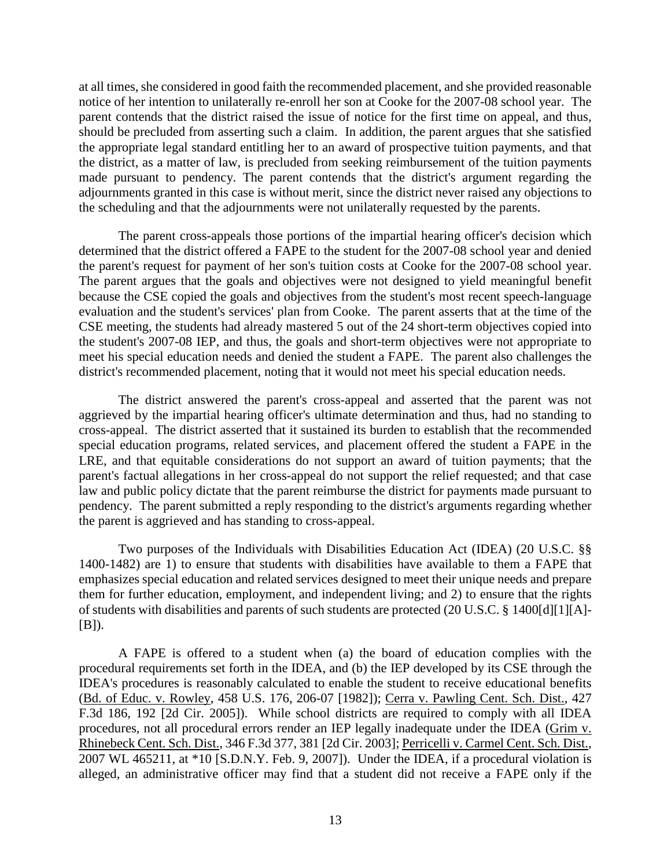at all times, she considered in good faith the recommended placement, and she provided reasonable notice of her intention to unilaterally re-enroll her son at Cooke for the 2007-08 school year. The parent contends that the district raised the issue of notice for the first time on appeal, and thus, should be precluded from asserting such a claim. In addition, the parent argues that she satisfied the appropriate legal standard entitling her to an award of prospective tuition payments, and that the district, as a matter of law, is precluded from seeking reimbursement of the tuition payments made pursuant to pendency. The parent contends that the district's argument regarding the adjournments granted in this case is without merit, since the district never raised any objections to the scheduling and that the adjournments were not unilaterally requested by the parents.

The parent cross-appeals those portions of the impartial hearing officer's decision which determined that the district offered a FAPE to the student for the 2007-08 school year and denied the parent's request for payment of her son's tuition costs at Cooke for the 2007-08 school year. The parent argues that the goals and objectives were not designed to yield meaningful benefit because the CSE copied the goals and objectives from the student's most recent speech-language evaluation and the student's services' plan from Cooke. The parent asserts that at the time of the CSE meeting, the students had already mastered 5 out of the 24 short-term objectives copied into the student's 2007-08 IEP, and thus, the goals and short-term objectives were not appropriate to meet his special education needs and denied the student a FAPE. The parent also challenges the district's recommended placement, noting that it would not meet his special education needs.

The district answered the parent's cross-appeal and asserted that the parent was not aggrieved by the impartial hearing officer's ultimate determination and thus, had no standing to cross-appeal. The district asserted that it sustained its burden to establish that the recommended special education programs, related services, and placement offered the student a FAPE in the LRE, and that equitable considerations do not support an award of tuition payments; that the parent's factual allegations in her cross-appeal do not support the relief requested; and that case law and public policy dictate that the parent reimburse the district for payments made pursuant to pendency. The parent submitted a reply responding to the district's arguments regarding whether the parent is aggrieved and has standing to cross-appeal.

Two purposes of the Individuals with Disabilities Education Act (IDEA) (20 U.S.C. §§ 1400-1482) are 1) to ensure that students with disabilities have available to them a FAPE that emphasizes special education and related services designed to meet their unique needs and prepare them for further education, employment, and independent living; and 2) to ensure that the rights of students with disabilities and parents of such students are protected (20 U.S.C. § 1400[d][1][A]- [B]).

A FAPE is offered to a student when (a) the board of education complies with the procedural requirements set forth in the IDEA, and (b) the IEP developed by its CSE through the IDEA's procedures is reasonably calculated to enable the student to receive educational benefits (Bd. of Educ. v. Rowley, 458 U.S. 176, 206-07 [1982]); Cerra v. Pawling Cent. Sch. Dist., 427 F.3d 186, 192 [2d Cir. 2005]). While school districts are required to comply with all IDEA procedures, not all procedural errors render an IEP legally inadequate under the IDEA (Grim v. Rhinebeck Cent. Sch. Dist., 346 F.3d 377, 381 [2d Cir. 2003]; Perricelli v. Carmel Cent. Sch. Dist., 2007 WL 465211, at \*10 [S.D.N.Y. Feb. 9, 2007]). Under the IDEA, if a procedural violation is alleged, an administrative officer may find that a student did not receive a FAPE only if the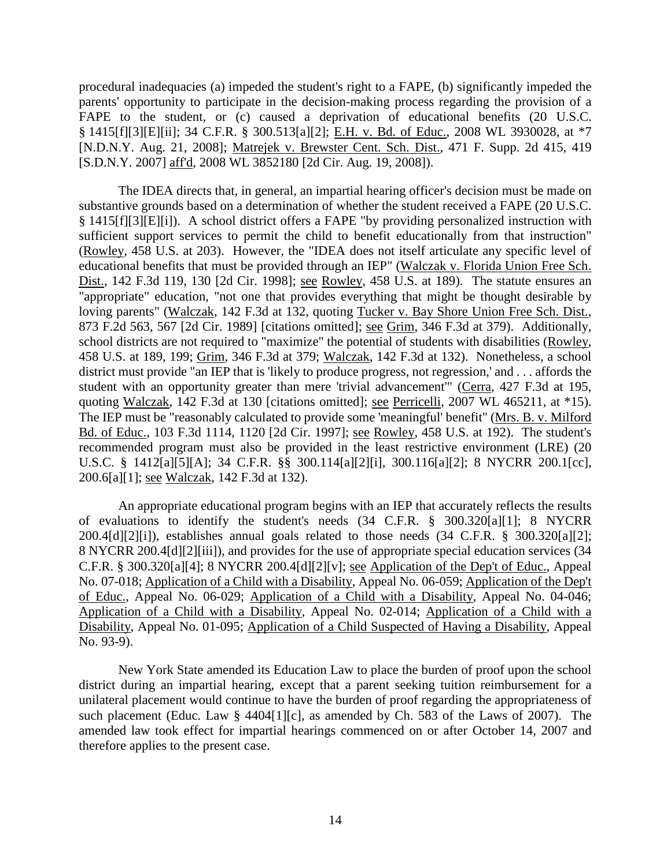procedural inadequacies (a) impeded the student's right to a FAPE, (b) significantly impeded the parents' opportunity to participate in the decision-making process regarding the provision of a FAPE to the student, or (c) caused a deprivation of educational benefits (20 U.S.C. § 1415[f][3][E][ii]; 34 C.F.R. § 300.513[a][2]; E.H. v. Bd. of Educ., 2008 WL 3930028, at \*7 [N.D.N.Y. Aug. 21, 2008]; Matrejek v. Brewster Cent. Sch. Dist., 471 F. Supp. 2d 415, 419 [S.D.N.Y. 2007] aff'd, 2008 WL 3852180 [2d Cir. Aug. 19, 2008]).

The IDEA directs that, in general, an impartial hearing officer's decision must be made on substantive grounds based on a determination of whether the student received a FAPE (20 U.S.C. § 1415[f][3][E][i]). A school district offers a FAPE "by providing personalized instruction with sufficient support services to permit the child to benefit educationally from that instruction" (Rowley, 458 U.S. at 203). However, the "IDEA does not itself articulate any specific level of educational benefits that must be provided through an IEP" (Walczak v. Florida Union Free Sch. Dist., 142 F.3d 119, 130 [2d Cir. 1998]; see Rowley, 458 U.S. at 189). The statute ensures an "appropriate" education, "not one that provides everything that might be thought desirable by loving parents" (Walczak, 142 F.3d at 132, quoting Tucker v. Bay Shore Union Free Sch. Dist., 873 F.2d 563, 567 [2d Cir. 1989] [citations omitted]; see Grim, 346 F.3d at 379). Additionally, school districts are not required to "maximize" the potential of students with disabilities (Rowley, 458 U.S. at 189, 199; Grim, 346 F.3d at 379; Walczak, 142 F.3d at 132). Nonetheless, a school district must provide "an IEP that is 'likely to produce progress, not regression,' and . . . affords the student with an opportunity greater than mere 'trivial advancement'" (Cerra, 427 F.3d at 195, quoting Walczak, 142 F.3d at 130 [citations omitted]; see Perricelli, 2007 WL 465211, at \*15). The IEP must be "reasonably calculated to provide some 'meaningful' benefit" (Mrs. B. v. Milford Bd. of Educ., 103 F.3d 1114, 1120 [2d Cir. 1997]; see Rowley, 458 U.S. at 192). The student's recommended program must also be provided in the least restrictive environment (LRE) (20 U.S.C. § 1412[a][5][A]; 34 C.F.R. §§ 300.114[a][2][i], 300.116[a][2]; 8 NYCRR 200.1[cc], 200.6[a][1]; see Walczak, 142 F.3d at 132).

An appropriate educational program begins with an IEP that accurately reflects the results of evaluations to identify the student's needs (34 C.F.R. § 300.320[a][1]; 8 NYCRR 200.4[d][2][i]), establishes annual goals related to those needs (34 C.F.R. § 300.320[a][2]; 8 NYCRR 200.4[d][2][iii]), and provides for the use of appropriate special education services (34 C.F.R. § 300.320[a][4]; 8 NYCRR 200.4[d][2][v]; see Application of the Dep't of Educ., Appeal No. 07-018; Application of a Child with a Disability, Appeal No. 06-059; Application of the Dep't of Educ., Appeal No. 06-029; Application of a Child with a Disability, Appeal No. 04-046; Application of a Child with a Disability, Appeal No. 02-014; Application of a Child with a Disability, Appeal No. 01-095; Application of a Child Suspected of Having a Disability, Appeal No. 93-9).

New York State amended its Education Law to place the burden of proof upon the school district during an impartial hearing, except that a parent seeking tuition reimbursement for a unilateral placement would continue to have the burden of proof regarding the appropriateness of such placement (Educ. Law § 4404[1][c], as amended by Ch. 583 of the Laws of 2007). The amended law took effect for impartial hearings commenced on or after October 14, 2007 and therefore applies to the present case.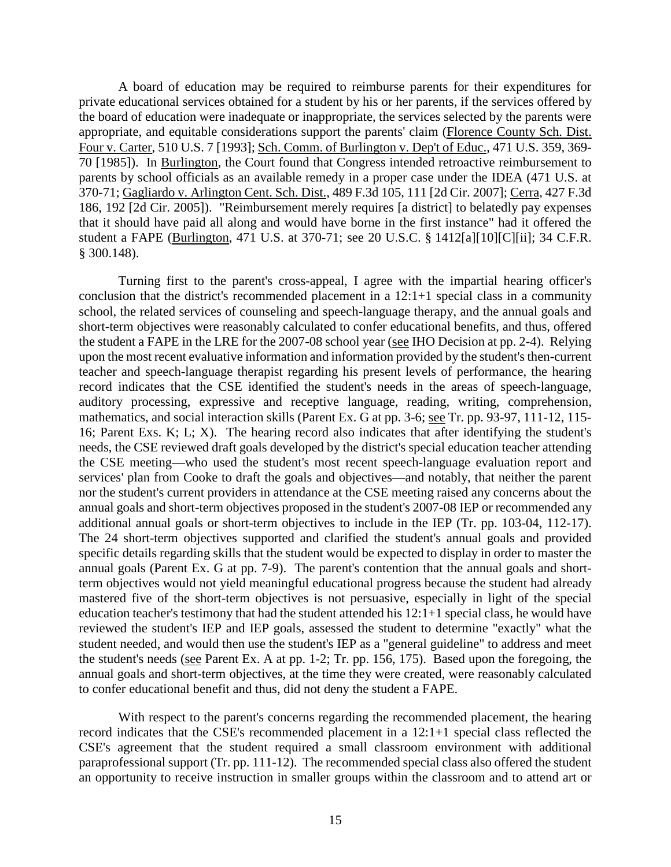A board of education may be required to reimburse parents for their expenditures for private educational services obtained for a student by his or her parents, if the services offered by the board of education were inadequate or inappropriate, the services selected by the parents were appropriate, and equitable considerations support the parents' claim (Florence County Sch. Dist. Four v. Carter, 510 U.S. 7 [1993]; Sch. Comm. of Burlington v. Dep't of Educ., 471 U.S. 359, 369- 70 [1985]). In Burlington, the Court found that Congress intended retroactive reimbursement to parents by school officials as an available remedy in a proper case under the IDEA (471 U.S. at 370-71; Gagliardo v. Arlington Cent. Sch. Dist., 489 F.3d 105, 111 [2d Cir. 2007]; Cerra, 427 F.3d 186, 192 [2d Cir. 2005]). "Reimbursement merely requires [a district] to belatedly pay expenses that it should have paid all along and would have borne in the first instance" had it offered the student a FAPE (Burlington, 471 U.S. at 370-71; see 20 U.S.C. § 1412[a][10][C][ii]; 34 C.F.R. § 300.148).

Turning first to the parent's cross-appeal, I agree with the impartial hearing officer's conclusion that the district's recommended placement in a 12:1+1 special class in a community school, the related services of counseling and speech-language therapy, and the annual goals and short-term objectives were reasonably calculated to confer educational benefits, and thus, offered the student a FAPE in the LRE for the 2007-08 school year (see IHO Decision at pp. 2-4). Relying upon the most recent evaluative information and information provided by the student's then-current teacher and speech-language therapist regarding his present levels of performance, the hearing record indicates that the CSE identified the student's needs in the areas of speech-language, auditory processing, expressive and receptive language, reading, writing, comprehension, mathematics, and social interaction skills (Parent Ex. G at pp. 3-6; see Tr. pp. 93-97, 111-12, 115- 16; Parent Exs. K; L; X). The hearing record also indicates that after identifying the student's needs, the CSE reviewed draft goals developed by the district's special education teacher attending the CSE meeting—who used the student's most recent speech-language evaluation report and services' plan from Cooke to draft the goals and objectives—and notably, that neither the parent nor the student's current providers in attendance at the CSE meeting raised any concerns about the annual goals and short-term objectives proposed in the student's 2007-08 IEP or recommended any additional annual goals or short-term objectives to include in the IEP (Tr. pp. 103-04, 112-17). The 24 short-term objectives supported and clarified the student's annual goals and provided specific details regarding skills that the student would be expected to display in order to master the annual goals (Parent Ex. G at pp. 7-9). The parent's contention that the annual goals and shortterm objectives would not yield meaningful educational progress because the student had already mastered five of the short-term objectives is not persuasive, especially in light of the special education teacher's testimony that had the student attended his 12:1+1 special class, he would have reviewed the student's IEP and IEP goals, assessed the student to determine "exactly" what the student needed, and would then use the student's IEP as a "general guideline" to address and meet the student's needs (see Parent Ex. A at pp. 1-2; Tr. pp. 156, 175). Based upon the foregoing, the annual goals and short-term objectives, at the time they were created, were reasonably calculated to confer educational benefit and thus, did not deny the student a FAPE.

With respect to the parent's concerns regarding the recommended placement, the hearing record indicates that the CSE's recommended placement in a 12:1+1 special class reflected the CSE's agreement that the student required a small classroom environment with additional paraprofessional support (Tr. pp. 111-12). The recommended special class also offered the student an opportunity to receive instruction in smaller groups within the classroom and to attend art or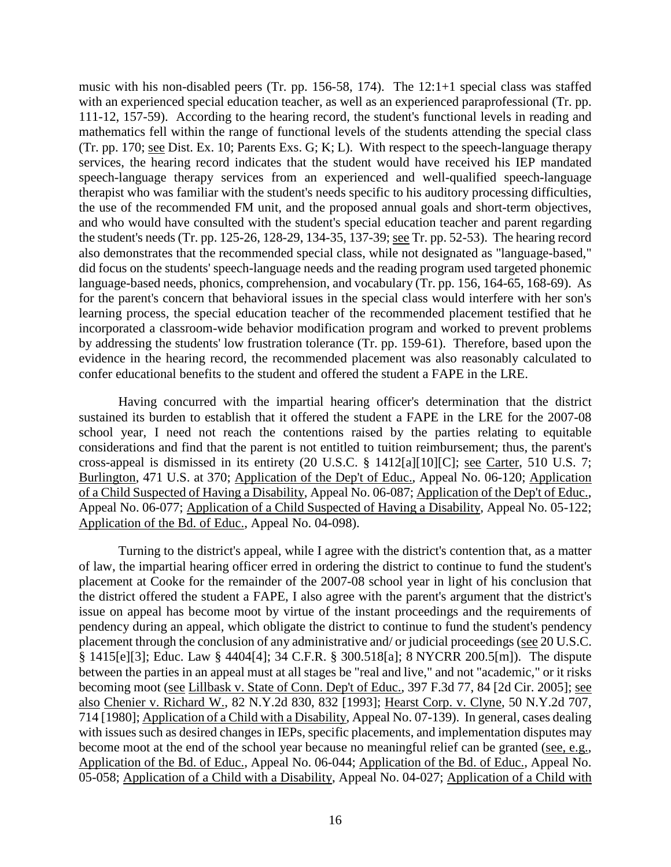music with his non-disabled peers (Tr. pp. 156-58, 174). The 12:1+1 special class was staffed with an experienced special education teacher, as well as an experienced paraprofessional (Tr. pp. 111-12, 157-59). According to the hearing record, the student's functional levels in reading and mathematics fell within the range of functional levels of the students attending the special class (Tr. pp. 170; see Dist. Ex. 10; Parents Exs. G; K; L). With respect to the speech-language therapy services, the hearing record indicates that the student would have received his IEP mandated speech-language therapy services from an experienced and well-qualified speech-language therapist who was familiar with the student's needs specific to his auditory processing difficulties, the use of the recommended FM unit, and the proposed annual goals and short-term objectives, and who would have consulted with the student's special education teacher and parent regarding the student's needs (Tr. pp. 125-26, 128-29, 134-35, 137-39; see Tr. pp. 52-53). The hearing record also demonstrates that the recommended special class, while not designated as "language-based," did focus on the students' speech-language needs and the reading program used targeted phonemic language-based needs, phonics, comprehension, and vocabulary (Tr. pp. 156, 164-65, 168-69). As for the parent's concern that behavioral issues in the special class would interfere with her son's learning process, the special education teacher of the recommended placement testified that he incorporated a classroom-wide behavior modification program and worked to prevent problems by addressing the students' low frustration tolerance (Tr. pp. 159-61). Therefore, based upon the evidence in the hearing record, the recommended placement was also reasonably calculated to confer educational benefits to the student and offered the student a FAPE in the LRE.

Having concurred with the impartial hearing officer's determination that the district sustained its burden to establish that it offered the student a FAPE in the LRE for the 2007-08 school year, I need not reach the contentions raised by the parties relating to equitable considerations and find that the parent is not entitled to tuition reimbursement; thus, the parent's cross-appeal is dismissed in its entirety (20 U.S.C. § 1412[a][10][C]; see Carter, 510 U.S. 7; Burlington, 471 U.S. at 370; Application of the Dep't of Educ., Appeal No. 06-120; Application of a Child Suspected of Having a Disability, Appeal No. 06-087; Application of the Dep't of Educ., Appeal No. 06-077; Application of a Child Suspected of Having a Disability, Appeal No. 05-122; Application of the Bd. of Educ., Appeal No. 04-098).

Turning to the district's appeal, while I agree with the district's contention that, as a matter of law, the impartial hearing officer erred in ordering the district to continue to fund the student's placement at Cooke for the remainder of the 2007-08 school year in light of his conclusion that the district offered the student a FAPE, I also agree with the parent's argument that the district's issue on appeal has become moot by virtue of the instant proceedings and the requirements of pendency during an appeal, which obligate the district to continue to fund the student's pendency placement through the conclusion of any administrative and/ or judicial proceedings (see 20 U.S.C. § 1415[e][3]; Educ. Law § 4404[4]; 34 C.F.R. § 300.518[a]; 8 NYCRR 200.5[m]). The dispute between the parties in an appeal must at all stages be "real and live," and not "academic," or it risks becoming moot (see Lillbask v. State of Conn. Dep't of Educ., 397 F.3d 77, 84 [2d Cir. 2005]; see also Chenier v. Richard W., 82 N.Y.2d 830, 832 [1993]; Hearst Corp. v. Clyne, 50 N.Y.2d 707, 714 [1980]; Application of a Child with a Disability, Appeal No. 07-139). In general, cases dealing with issues such as desired changes in IEPs, specific placements, and implementation disputes may become moot at the end of the school year because no meaningful relief can be granted (see, e.g., Application of the Bd. of Educ., Appeal No. 06-044; Application of the Bd. of Educ., Appeal No. 05-058; Application of a Child with a Disability, Appeal No. 04-027; Application of a Child with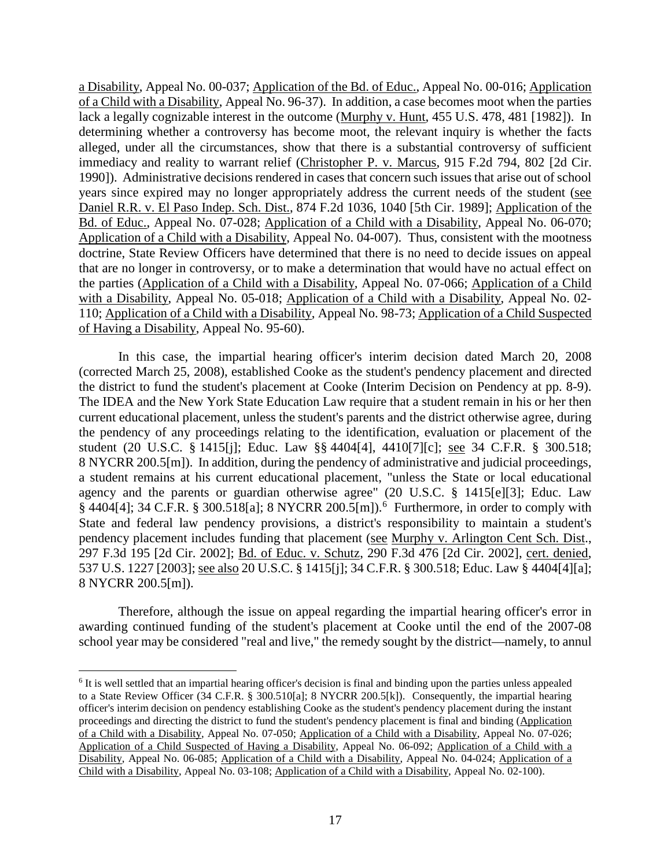a Disability, Appeal No. 00-037; Application of the Bd. of Educ., Appeal No. 00-016; Application of a Child with a Disability, Appeal No. 96-37). In addition, a case becomes moot when the parties lack a legally cognizable interest in the outcome (Murphy v. Hunt, 455 U.S. 478, 481 [1982]). In determining whether a controversy has become moot, the relevant inquiry is whether the facts alleged, under all the circumstances, show that there is a substantial controversy of sufficient immediacy and reality to warrant relief (Christopher P. v. Marcus, 915 F.2d 794, 802 [2d Cir. 1990]). Administrative decisions rendered in cases that concern such issues that arise out of school years since expired may no longer appropriately address the current needs of the student (see Daniel R.R. v. El Paso Indep. Sch. Dist., 874 F.2d 1036, 1040 [5th Cir. 1989]; Application of the Bd. of Educ., Appeal No. 07-028; Application of a Child with a Disability, Appeal No. 06-070; Application of a Child with a Disability, Appeal No. 04-007). Thus, consistent with the mootness doctrine, State Review Officers have determined that there is no need to decide issues on appeal that are no longer in controversy, or to make a determination that would have no actual effect on the parties (Application of a Child with a Disability, Appeal No. 07-066; Application of a Child with a Disability, Appeal No. 05-018; Application of a Child with a Disability, Appeal No. 02- 110; Application of a Child with a Disability, Appeal No. 98-73; Application of a Child Suspected of Having a Disability, Appeal No. 95-60).

In this case, the impartial hearing officer's interim decision dated March 20, 2008 (corrected March 25, 2008), established Cooke as the student's pendency placement and directed the district to fund the student's placement at Cooke (Interim Decision on Pendency at pp. 8-9). The IDEA and the New York State Education Law require that a student remain in his or her then current educational placement, unless the student's parents and the district otherwise agree, during the pendency of any proceedings relating to the identification, evaluation or placement of the student (20 U.S.C. § 1415[j]; Educ. Law §§ 4404[4], 4410[7][c]; see 34 C.F.R. § 300.518; 8 NYCRR 200.5[m]). In addition, during the pendency of administrative and judicial proceedings, a student remains at his current educational placement, "unless the State or local educational agency and the parents or guardian otherwise agree" (20 U.S.C. § 1415[e][3]; Educ. Law § 4404[4]; 34 C.F.R. § 300.518[a]; 8 NYCRR 200.5[m]).<sup>6</sup> Furthermore, in order to comply with State and federal law pendency provisions, a district's responsibility to maintain a student's pendency placement includes funding that placement (see Murphy v. Arlington Cent Sch. Dist., 297 F.3d 195 [2d Cir. 2002]; Bd. of Educ. v. Schutz, 290 F.3d 476 [2d Cir. 2002], cert. denied, 537 U.S. 1227 [2003]; see also 20 U.S.C. § 1415[j]; 34 C.F.R. § 300.518; Educ. Law § 4404[4][a]; 8 NYCRR 200.5[m]).

Therefore, although the issue on appeal regarding the impartial hearing officer's error in awarding continued funding of the student's placement at Cooke until the end of the 2007-08 school year may be considered "real and live," the remedy sought by the district—namely, to annul

 $6$  It is well settled that an impartial hearing officer's decision is final and binding upon the parties unless appealed to a State Review Officer (34 C.F.R. § 300.510[a]; 8 NYCRR 200.5[k]). Consequently, the impartial hearing officer's interim decision on pendency establishing Cooke as the student's pendency placement during the instant proceedings and directing the district to fund the student's pendency placement is final and binding (Application of a Child with a Disability, Appeal No. 07-050; Application of a Child with a Disability, Appeal No. 07-026; Application of a Child Suspected of Having a Disability, Appeal No. 06-092; Application of a Child with a Disability, Appeal No. 06-085; Application of a Child with a Disability, Appeal No. 04-024; Application of a Child with a Disability, Appeal No. 03-108; Application of a Child with a Disability, Appeal No. 02-100).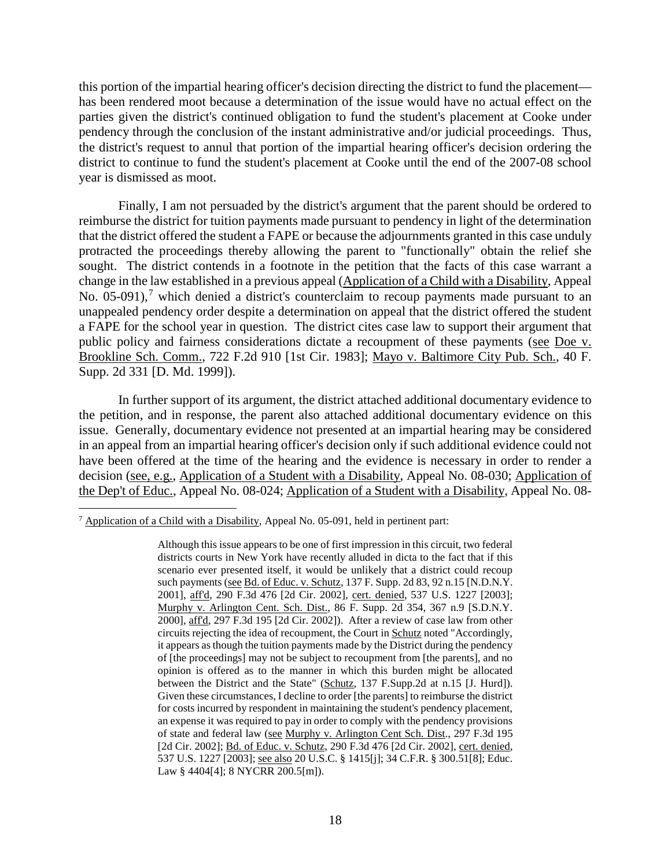this portion of the impartial hearing officer's decision directing the district to fund the placement has been rendered moot because a determination of the issue would have no actual effect on the parties given the district's continued obligation to fund the student's placement at Cooke under pendency through the conclusion of the instant administrative and/or judicial proceedings. Thus, the district's request to annul that portion of the impartial hearing officer's decision ordering the district to continue to fund the student's placement at Cooke until the end of the 2007-08 school year is dismissed as moot.

Finally, I am not persuaded by the district's argument that the parent should be ordered to reimburse the district for tuition payments made pursuant to pendency in light of the determination that the district offered the student a FAPE or because the adjournments granted in this case unduly protracted the proceedings thereby allowing the parent to "functionally" obtain the relief she sought. The district contends in a footnote in the petition that the facts of this case warrant a change in the law established in a previous appeal (Application of a Child with a Disability, Appeal No. 05-091),<sup>7</sup> which denied a district's counterclaim to recoup payments made pursuant to an unappealed pendency order despite a determination on appeal that the district offered the student a FAPE for the school year in question. The district cites case law to support their argument that public policy and fairness considerations dictate a recoupment of these payments (see Doe v. Brookline Sch. Comm., 722 F.2d 910 [1st Cir. 1983]; Mayo v. Baltimore City Pub. Sch., 40 F. Supp. 2d 331 [D. Md. 1999]).

In further support of its argument, the district attached additional documentary evidence to the petition, and in response, the parent also attached additional documentary evidence on this issue. Generally, documentary evidence not presented at an impartial hearing may be considered in an appeal from an impartial hearing officer's decision only if such additional evidence could not have been offered at the time of the hearing and the evidence is necessary in order to render a decision (see, e.g., Application of a Student with a Disability, Appeal No. 08-030; Application of the Dep't of Educ., Appeal No. 08-024; Application of a Student with a Disability, Appeal No. 08-

 <sup>7</sup> Application of a Child with a Disability, Appeal No. 05-091, held in pertinent part:

Although this issue appears to be one of first impression in this circuit, two federal districts courts in New York have recently alluded in dicta to the fact that if this scenario ever presented itself, it would be unlikely that a district could recoup such payments (see Bd. of Educ. v. Schutz, 137 F. Supp. 2d 83, 92 n.15 [N.D.N.Y. 2001], aff'd, 290 F.3d 476 [2d Cir. 2002], cert. denied, 537 U.S. 1227 [2003]; Murphy v. Arlington Cent. Sch. Dist., 86 F. Supp. 2d 354, 367 n.9 [S.D.N.Y. 2000], aff'd, 297 F.3d 195 [2d Cir. 2002]). After a review of case law from other circuits rejecting the idea of recoupment, the Court in Schutz noted "Accordingly, it appears as though the tuition payments made by the District during the pendency of [the proceedings] may not be subject to recoupment from [the parents], and no opinion is offered as to the manner in which this burden might be allocated between the District and the State" (Schutz, 137 F.Supp.2d at n.15 [J. Hurd]). Given these circumstances, I decline to order [the parents] to reimburse the district for costs incurred by respondent in maintaining the student's pendency placement, an expense it was required to pay in order to comply with the pendency provisions of state and federal law (see Murphy v. Arlington Cent Sch. Dist., 297 F.3d 195 [2d Cir. 2002]; **Bd. of Educ. v. Schutz, 290 F.3d 476 [2d Cir. 2002]**, cert. denied, 537 U.S. 1227 [2003]; see also 20 U.S.C. § 1415[j]; 34 C.F.R. § 300.51[8]; Educ. Law § 4404[4]; 8 NYCRR 200.5[m]).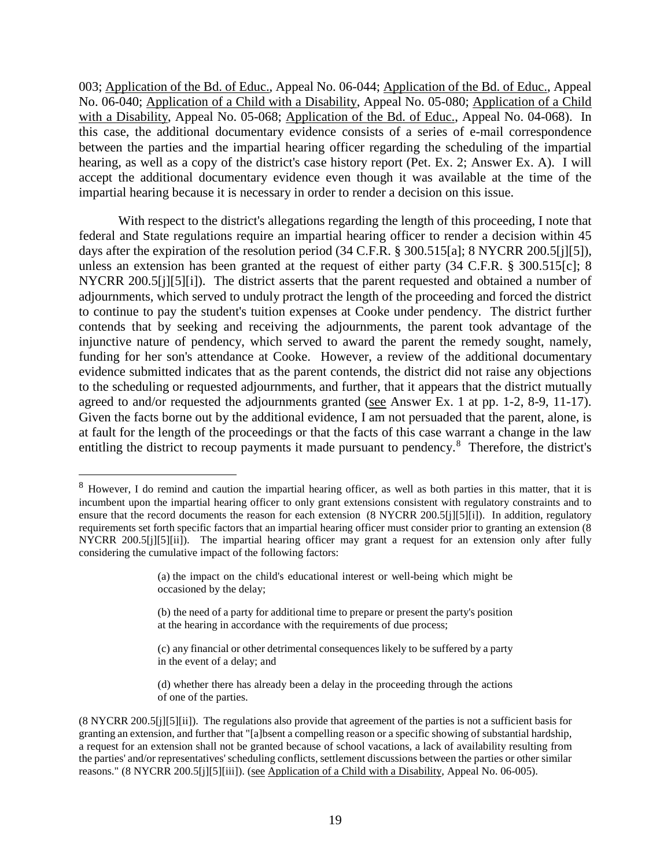003; Application of the Bd. of Educ., Appeal No. 06-044; Application of the Bd. of Educ., Appeal No. 06-040; Application of a Child with a Disability, Appeal No. 05-080; Application of a Child with a Disability, Appeal No. 05-068; Application of the Bd. of Educ., Appeal No. 04-068). In this case, the additional documentary evidence consists of a series of e-mail correspondence between the parties and the impartial hearing officer regarding the scheduling of the impartial hearing, as well as a copy of the district's case history report (Pet. Ex. 2; Answer Ex. A). I will accept the additional documentary evidence even though it was available at the time of the impartial hearing because it is necessary in order to render a decision on this issue.

With respect to the district's allegations regarding the length of this proceeding, I note that federal and State regulations require an impartial hearing officer to render a decision within 45 days after the expiration of the resolution period (34 C.F.R. § 300.515[a]; 8 NYCRR 200.5[j][5]), unless an extension has been granted at the request of either party (34 C.F.R. § 300.515[c]; 8 NYCRR 200.5[j][5][i]). The district asserts that the parent requested and obtained a number of adjournments, which served to unduly protract the length of the proceeding and forced the district to continue to pay the student's tuition expenses at Cooke under pendency. The district further contends that by seeking and receiving the adjournments, the parent took advantage of the injunctive nature of pendency, which served to award the parent the remedy sought, namely, funding for her son's attendance at Cooke. However, a review of the additional documentary evidence submitted indicates that as the parent contends, the district did not raise any objections to the scheduling or requested adjournments, and further, that it appears that the district mutually agreed to and/or requested the adjournments granted (see Answer Ex. 1 at pp. 1-2, 8-9, 11-17). Given the facts borne out by the additional evidence, I am not persuaded that the parent, alone, is at fault for the length of the proceedings or that the facts of this case warrant a change in the law entitling the district to recoup payments it made pursuant to pendency.<sup>8</sup> Therefore, the district's

 <sup>8</sup> However, I do remind and caution the impartial hearing officer, as well as both parties in this matter, that it is incumbent upon the impartial hearing officer to only grant extensions consistent with regulatory constraints and to ensure that the record documents the reason for each extension (8 NYCRR 200.5[j][5][i]). In addition, regulatory requirements set forth specific factors that an impartial hearing officer must consider prior to granting an extension (8 NYCRR 200.5[j][5][ii]). The impartial hearing officer may grant a request for an extension only after fully considering the cumulative impact of the following factors:

<sup>(</sup>a) the impact on the child's educational interest or well-being which might be occasioned by the delay;

<sup>(</sup>b) the need of a party for additional time to prepare or present the party's position at the hearing in accordance with the requirements of due process;

<sup>(</sup>c) any financial or other detrimental consequences likely to be suffered by a party in the event of a delay; and

<sup>(</sup>d) whether there has already been a delay in the proceeding through the actions of one of the parties.

<sup>(8</sup> NYCRR 200.5[j][5][ii]). The regulations also provide that agreement of the parties is not a sufficient basis for granting an extension, and further that "[a]bsent a compelling reason or a specific showing of substantial hardship, a request for an extension shall not be granted because of school vacations, a lack of availability resulting from the parties' and/or representatives' scheduling conflicts, settlement discussions between the parties or other similar reasons." (8 NYCRR 200.5[j][5][iii]). (see Application of a Child with a Disability, Appeal No. 06-005).